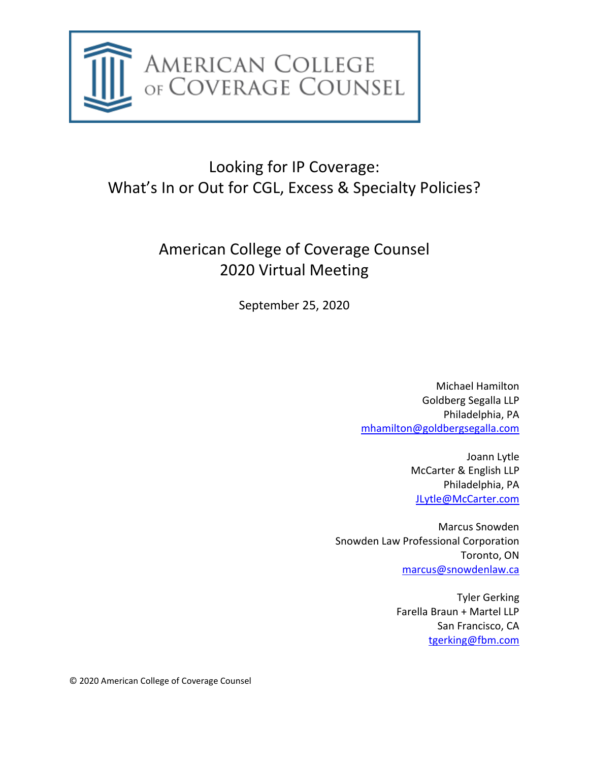

# Looking for IP Coverage: What's In or Out for CGL, Excess & Specialty Policies?

# American College of Coverage Counsel 2020 Virtual Meeting

September 25, 2020

Michael Hamilton Goldberg Segalla LLP Philadelphia, PA [mhamilton@goldbergsegalla.com](mailto:mhamilton@goldbergsegalla.com)

> Joann Lytle McCarter & English LLP Philadelphia, PA [JLytle@McCarter.com](mailto:JLytle@McCarter.com)

Marcus Snowden Snowden Law Professional Corporation Toronto, ON [marcus@snowdenlaw.ca](mailto:marcus@snowdenlaw.ca)

> Tyler Gerking Farella Braun + Martel LLP San Francisco, CA [tgerking@fbm.com](mailto:tgerking@fbm.com)

© 2020 American College of Coverage Counsel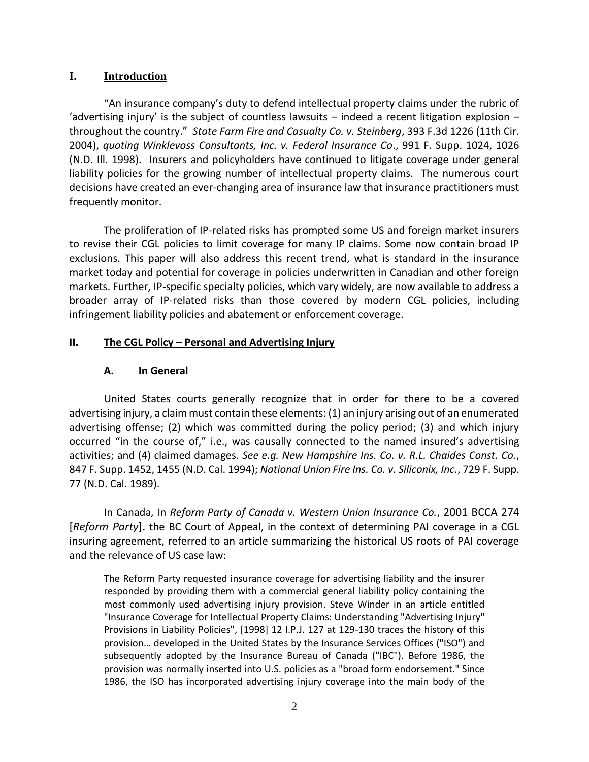## **I. Introduction**

"An insurance company's duty to defend intellectual property claims under the rubric of 'advertising injury' is the subject of countless lawsuits  $-$  indeed a recent litigation explosion  $$ throughout the country." *State Farm Fire and Casualty Co. v. Steinberg*, 393 F.3d 1226 (11th Cir. 2004), *quoting Winklevoss Consultants, Inc. v. Federal Insurance Co*., 991 F. Supp. 1024, 1026 (N.D. Ill. 1998). Insurers and policyholders have continued to litigate coverage under general liability policies for the growing number of intellectual property claims. The numerous court decisions have created an ever-changing area of insurance law that insurance practitioners must frequently monitor.

The proliferation of IP-related risks has prompted some US and foreign market insurers to revise their CGL policies to limit coverage for many IP claims. Some now contain broad IP exclusions. This paper will also address this recent trend, what is standard in the insurance market today and potential for coverage in policies underwritten in Canadian and other foreign markets. Further, IP-specific specialty policies, which vary widely, are now available to address a broader array of IP-related risks than those covered by modern CGL policies, including infringement liability policies and abatement or enforcement coverage.

## **II. The CGL Policy – Personal and Advertising Injury**

## **A. In General**

United States courts generally recognize that in order for there to be a covered advertising injury, a claim must contain these elements: (1) an injury arising out of an enumerated advertising offense; (2) which was committed during the policy period; (3) and which injury occurred "in the course of," i.e., was causally connected to the named insured's advertising activities; and (4) claimed damages. *See e.g. New Hampshire Ins. Co. v. R.L. Chaides Const. Co.*, 847 F. Supp. 1452, 1455 (N.D. Cal. 1994); *National Union Fire Ins. Co. v. Siliconix, Inc.*, 729 F. Supp. 77 (N.D. Cal. 1989).

In Canada*,* In *Reform Party of Canada v. Western Union Insurance Co.*, 2001 BCCA 274 [*Reform Party*]. the BC Court of Appeal, in the context of determining PAI coverage in a CGL insuring agreement, referred to an article summarizing the historical US roots of PAI coverage and the relevance of US case law:

The Reform Party requested insurance coverage for advertising liability and the insurer responded by providing them with a commercial general liability policy containing the most commonly used advertising injury provision. Steve Winder in an article entitled "Insurance Coverage for Intellectual Property Claims: Understanding "Advertising Injury" Provisions in Liability Policies", [1998] 12 I.P.J. 127 at 129-130 traces the history of this provision… developed in the United States by the Insurance Services Offices ("ISO") and subsequently adopted by the Insurance Bureau of Canada ("IBC"). Before 1986, the provision was normally inserted into U.S. policies as a "broad form endorsement." Since 1986, the ISO has incorporated advertising injury coverage into the main body of the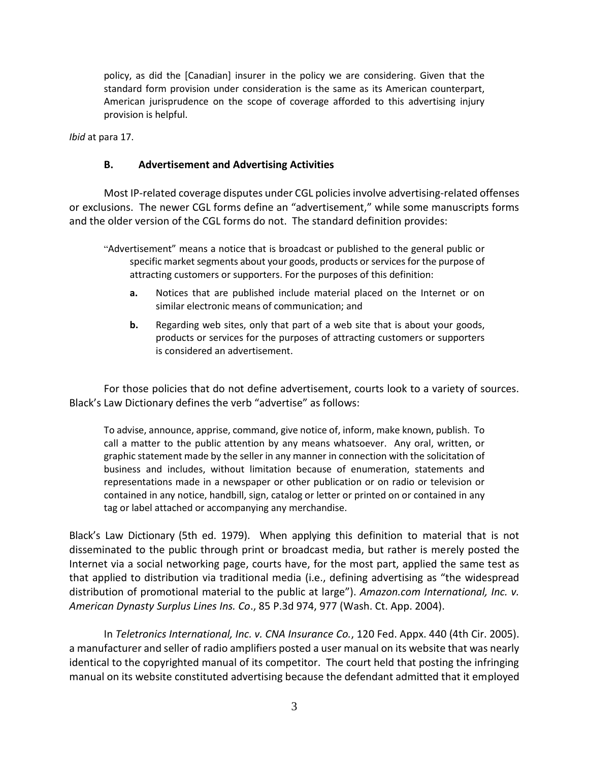policy, as did the [Canadian] insurer in the policy we are considering. Given that the standard form provision under consideration is the same as its American counterpart, American jurisprudence on the scope of coverage afforded to this advertising injury provision is helpful.

*Ibid* at para 17.

## **B. Advertisement and Advertising Activities**

Most IP-related coverage disputes under CGL policies involve advertising-related offenses or exclusions. The newer CGL forms define an "advertisement," while some manuscripts forms and the older version of the CGL forms do not. The standard definition provides:

- "Advertisement" means a notice that is broadcast or published to the general public or specific market segments about your goods, products or services for the purpose of attracting customers or supporters. For the purposes of this definition:
	- **a.** Notices that are published include material placed on the Internet or on similar electronic means of communication; and
	- **b.** Regarding web sites, only that part of a web site that is about your goods, products or services for the purposes of attracting customers or supporters is considered an advertisement.

For those policies that do not define advertisement, courts look to a variety of sources. Black's Law Dictionary defines the verb "advertise" as follows:

To advise, announce, apprise, command, give notice of, inform, make known, publish. To call a matter to the public attention by any means whatsoever. Any oral, written, or graphic statement made by the seller in any manner in connection with the solicitation of business and includes, without limitation because of enumeration, statements and representations made in a newspaper or other publication or on radio or television or contained in any notice, handbill, sign, catalog or letter or printed on or contained in any tag or label attached or accompanying any merchandise.

Black's Law Dictionary (5th ed. 1979). When applying this definition to material that is not disseminated to the public through print or broadcast media, but rather is merely posted the Internet via a social networking page, courts have, for the most part, applied the same test as that applied to distribution via traditional media (i.e., defining advertising as "the widespread distribution of promotional material to the public at large"). *Amazon.com International, Inc. v. American Dynasty Surplus Lines Ins. Co*., 85 P.3d 974, 977 (Wash. Ct. App. 2004).

In *Teletronics International, Inc. v. CNA Insurance Co.*, 120 Fed. Appx. 440 (4th Cir. 2005). a manufacturer and seller of radio amplifiers posted a user manual on its website that was nearly identical to the copyrighted manual of its competitor. The court held that posting the infringing manual on its website constituted advertising because the defendant admitted that it employed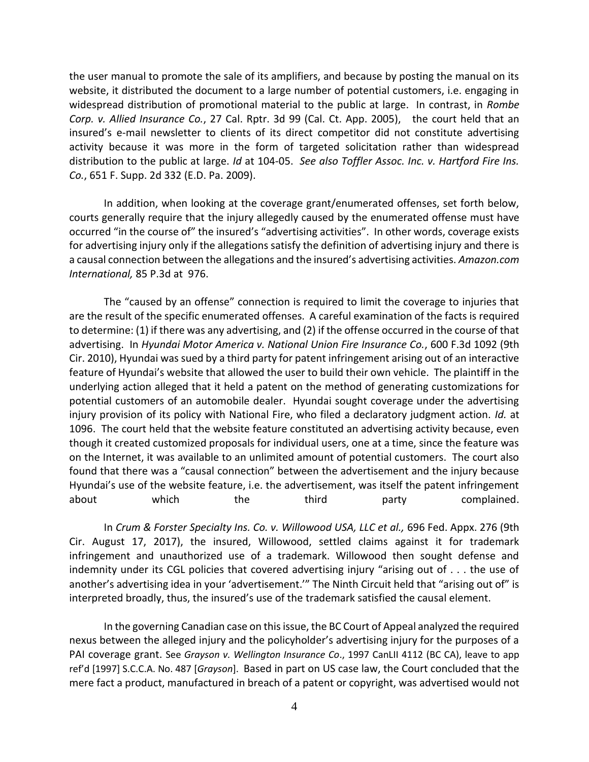the user manual to promote the sale of its amplifiers, and because by posting the manual on its website, it distributed the document to a large number of potential customers, i.e. engaging in widespread distribution of promotional material to the public at large. In contrast, in *Rombe Corp. v. Allied Insurance Co.*, 27 Cal. Rptr. 3d 99 (Cal. Ct. App. 2005), the court held that an insured's e-mail newsletter to clients of its direct competitor did not constitute advertising activity because it was more in the form of targeted solicitation rather than widespread distribution to the public at large. *Id* at 104-05. *See also Toffler Assoc. Inc. v. Hartford Fire Ins. Co.*, 651 F. Supp. 2d 332 (E.D. Pa. 2009).

In addition, when looking at the coverage grant/enumerated offenses, set forth below, courts generally require that the injury allegedly caused by the enumerated offense must have occurred "in the course of" the insured's "advertising activities". In other words, coverage exists for advertising injury only if the allegations satisfy the definition of advertising injury and there is a causal connection between the allegations and the insured's advertising activities. *Amazon.com International,* 85 P.3d at 976.

The "caused by an offense" connection is required to limit the coverage to injuries that are the result of the specific enumerated offenses. A careful examination of the facts is required to determine: (1) if there was any advertising, and (2) if the offense occurred in the course of that advertising. In *Hyundai Motor America v. National Union Fire Insurance Co.*, 600 F.3d 1092 (9th Cir. 2010), Hyundai was sued by a third party for patent infringement arising out of an interactive feature of Hyundai's website that allowed the user to build their own vehicle. The plaintiff in the underlying action alleged that it held a patent on the method of generating customizations for potential customers of an automobile dealer. Hyundai sought coverage under the advertising injury provision of its policy with National Fire, who filed a declaratory judgment action. *Id.* at 1096. The court held that the website feature constituted an advertising activity because, even though it created customized proposals for individual users, one at a time, since the feature was on the Internet, it was available to an unlimited amount of potential customers. The court also found that there was a "causal connection" between the advertisement and the injury because Hyundai's use of the website feature, i.e. the advertisement, was itself the patent infringement about which the third party complained.

In *Crum & Forster Specialty Ins. Co. v. Willowood USA, LLC et al.,* 696 Fed. Appx. 276 (9th Cir. August 17, 2017), the insured, Willowood, settled claims against it for trademark infringement and unauthorized use of a trademark. Willowood then sought defense and indemnity under its CGL policies that covered advertising injury "arising out of . . . the use of another's advertising idea in your 'advertisement.'" The Ninth Circuit held that "arising out of" is interpreted broadly, thus, the insured's use of the trademark satisfied the causal element.

In the governing Canadian case on this issue, the BC Court of Appeal analyzed the required nexus between the alleged injury and the policyholder's advertising injury for the purposes of a PAI coverage grant. See *Grayson v. Wellington Insurance Co*., 1997 CanLII 4112 (BC CA), leave to app ref'd [1997] S.C.C.A. No. 487 [*Grayson*]. Based in part on US case law, the Court concluded that the mere fact a product, manufactured in breach of a patent or copyright, was advertised would not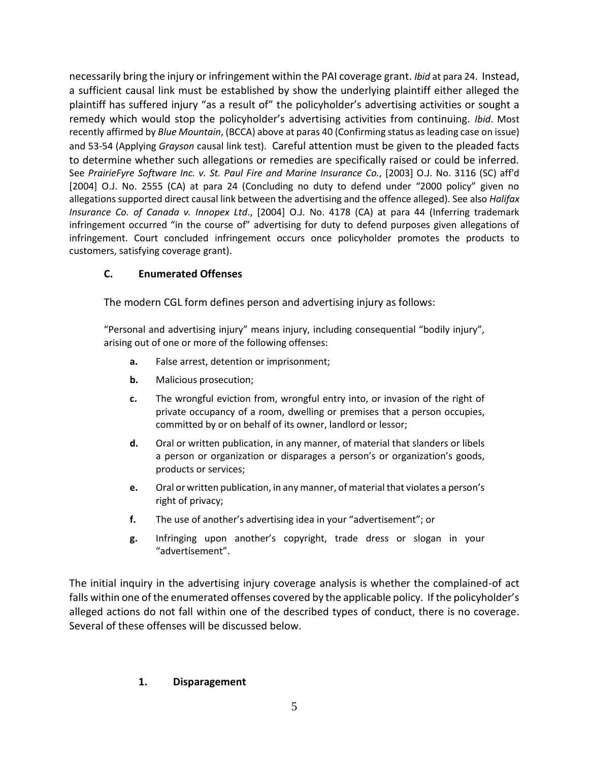necessarily bring the injury or infringement within the PAI coverage grant. *Ibid* at para 24. Instead, a sufficient causal link must be established by show the underlying plaintiff either alleged the plaintiff has suffered injury "as a result of" the policyholder's advertising activities or sought a remedy which would stop the policyholder's advertising activities from continuing. *Ibid*. Most recently affirmed by *Blue Mountain*, (BCCA) above at paras 40 (Confirming status as leading case on issue) and 53-54 (Applying *Grayson* causal link test). Careful attention must be given to the pleaded facts to determine whether such allegations or remedies are specifically raised or could be inferred. See *PrairieFyre Software Inc. v. St. Paul Fire and Marine Insurance Co.*, [2003] O.J. No. 3116 (SC) aff'd [2004] O.J. No. 2555 (CA) at para 24 (Concluding no duty to defend under "2000 policy" given no allegations supported direct causal link between the advertising and the offence alleged). See also *Halifax Insurance Co. of Canada v. Innopex Ltd*., [2004] O.J. No. 4178 (CA) at para 44 (Inferring trademark infringement occurred "in the course of" advertising for duty to defend purposes given allegations of infringement. Court concluded infringement occurs once policyholder promotes the products to customers, satisfying coverage grant).

# **C. Enumerated Offenses**

The modern CGL form defines person and advertising injury as follows:

"Personal and advertising injury" means injury, including consequential "bodily injury", arising out of one or more of the following offenses:

- **a.** False arrest, detention or imprisonment;
- **b.** Malicious prosecution;
- **c.** The wrongful eviction from, wrongful entry into, or invasion of the right of private occupancy of a room, dwelling or premises that a person occupies, committed by or on behalf of its owner, landlord or lessor;
- **d.** Oral or written publication, in any manner, of material that slanders or libels a person or organization or disparages a person's or organization's goods, products or services;
- **e.** Oral or written publication, in any manner, of material that violates a person's right of privacy;
- **f.** The use of another's advertising idea in your "advertisement"; or
- **g.** Infringing upon another's copyright, trade dress or slogan in your "advertisement".

The initial inquiry in the advertising injury coverage analysis is whether the complained-of act falls within one of the enumerated offenses covered by the applicable policy. If the policyholder's alleged actions do not fall within one of the described types of conduct, there is no coverage. Several of these offenses will be discussed below.

# **1. Disparagement**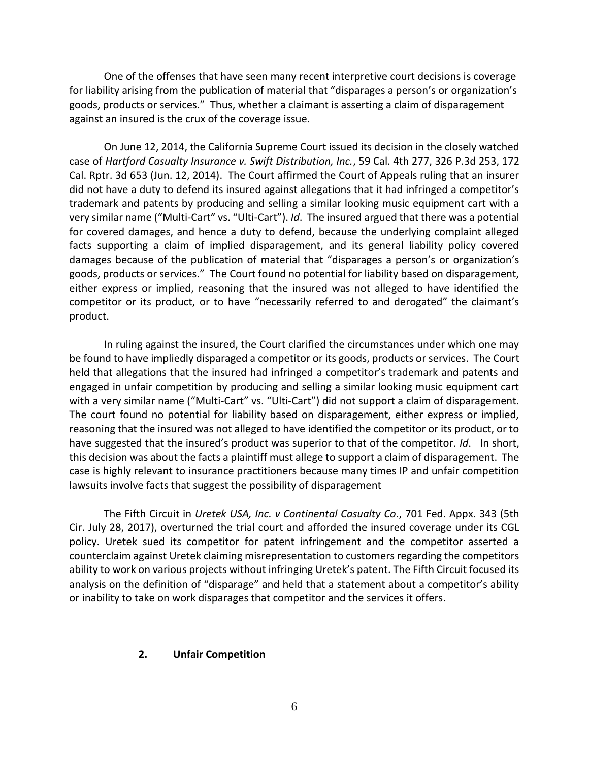One of the offenses that have seen many recent interpretive court decisions is coverage for liability arising from the publication of material that "disparages a person's or organization's goods, products or services." Thus, whether a claimant is asserting a claim of disparagement against an insured is the crux of the coverage issue.

On June 12, 2014, the California Supreme Court issued its decision in the closely watched case of *Hartford Casualty Insurance v. Swift Distribution, Inc.*, 59 Cal. 4th 277, 326 P.3d 253, 172 Cal. Rptr. 3d 653 (Jun. 12, 2014). The Court affirmed the Court of Appeals ruling that an insurer did not have a duty to defend its insured against allegations that it had infringed a competitor's trademark and patents by producing and selling a similar looking music equipment cart with a very similar name ("Multi-Cart" vs. "Ulti-Cart"). *Id*. The insured argued that there was a potential for covered damages, and hence a duty to defend, because the underlying complaint alleged facts supporting a claim of implied disparagement, and its general liability policy covered damages because of the publication of material that "disparages a person's or organization's goods, products or services." The Court found no potential for liability based on disparagement, either express or implied, reasoning that the insured was not alleged to have identified the competitor or its product, or to have "necessarily referred to and derogated" the claimant's product.

In ruling against the insured, the Court clarified the circumstances under which one may be found to have impliedly disparaged a competitor or its goods, products or services. The Court held that allegations that the insured had infringed a competitor's trademark and patents and engaged in unfair competition by producing and selling a similar looking music equipment cart with a very similar name ("Multi-Cart" vs. "Ulti-Cart") did not support a claim of disparagement. The court found no potential for liability based on disparagement, either express or implied, reasoning that the insured was not alleged to have identified the competitor or its product, or to have suggested that the insured's product was superior to that of the competitor. *Id*. In short, this decision was about the facts a plaintiff must allege to support a claim of disparagement. The case is highly relevant to insurance practitioners because many times IP and unfair competition lawsuits involve facts that suggest the possibility of disparagement

The Fifth Circuit in *Uretek USA, Inc. v Continental Casualty Co*., 701 Fed. Appx. 343 (5th Cir. July 28, 2017), overturned the trial court and afforded the insured coverage under its CGL policy. Uretek sued its competitor for patent infringement and the competitor asserted a counterclaim against Uretek claiming misrepresentation to customers regarding the competitors ability to work on various projects without infringing Uretek's patent. The Fifth Circuit focused its analysis on the definition of "disparage" and held that a statement about a competitor's ability or inability to take on work disparages that competitor and the services it offers.

#### **2. Unfair Competition**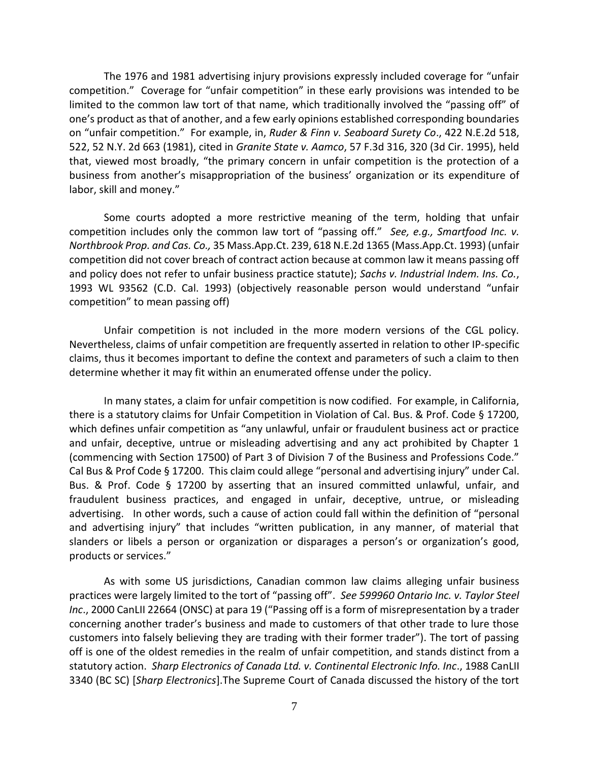The 1976 and 1981 advertising injury provisions expressly included coverage for "unfair competition." Coverage for "unfair competition" in these early provisions was intended to be limited to the common law tort of that name, which traditionally involved the "passing off" of one's product as that of another, and a few early opinions established corresponding boundaries on "unfair competition." For example, in, *Ruder & Finn v. Seaboard Surety Co*., 422 N.E.2d 518, 522, 52 N.Y. 2d 663 (1981), cited in *Granite State v. Aamco*, 57 F.3d 316, 320 (3d Cir. 1995), held that, viewed most broadly, "the primary concern in unfair competition is the protection of a business from another's misappropriation of the business' organization or its expenditure of labor, skill and money."

Some courts adopted a more restrictive meaning of the term, holding that unfair competition includes only the common law tort of "passing off." *See, e.g., Smartfood Inc. v. Northbrook Prop. and Cas. Co.,* 35 Mass.App.Ct. 239, 618 N.E.2d 1365 (Mass.App.Ct. 1993) (unfair competition did not cover breach of contract action because at common law it means passing off and policy does not refer to unfair business practice statute); *Sachs v. Industrial Indem. Ins. Co.*, 1993 WL 93562 (C.D. Cal. 1993) (objectively reasonable person would understand "unfair competition" to mean passing off)

Unfair competition is not included in the more modern versions of the CGL policy. Nevertheless, claims of unfair competition are frequently asserted in relation to other IP-specific claims, thus it becomes important to define the context and parameters of such a claim to then determine whether it may fit within an enumerated offense under the policy.

In many states, a claim for unfair competition is now codified. For example, in California, there is a statutory claims for Unfair Competition in Violation of Cal. Bus. & Prof. Code § 17200, which defines unfair competition as "any unlawful, unfair or fraudulent business act or practice and unfair, deceptive, untrue or misleading advertising and any act prohibited by Chapter 1 (commencing with Section 17500) of Part 3 of Division 7 of the Business and Professions Code." Cal Bus & Prof Code § 17200. This claim could allege "personal and advertising injury" under Cal. Bus. & Prof. Code § 17200 by asserting that an insured committed unlawful, unfair, and fraudulent business practices, and engaged in unfair, deceptive, untrue, or misleading advertising. In other words, such a cause of action could fall within the definition of "personal and advertising injury" that includes "written publication, in any manner, of material that slanders or libels a person or organization or disparages a person's or organization's good, products or services."

As with some US jurisdictions, Canadian common law claims alleging unfair business practices were largely limited to the tort of "passing off". *See 599960 Ontario Inc. v. Taylor Steel Inc*., 2000 CanLII 22664 (ONSC) at para 19 ("Passing off is a form of misrepresentation by a trader concerning another trader's business and made to customers of that other trade to lure those customers into falsely believing they are trading with their former trader"). The tort of passing off is one of the oldest remedies in the realm of unfair competition, and stands distinct from a statutory action. *Sharp Electronics of Canada Ltd. v. Continental Electronic Info. Inc*., 1988 CanLII 3340 (BC SC) [*Sharp Electronics*].The Supreme Court of Canada discussed the history of the tort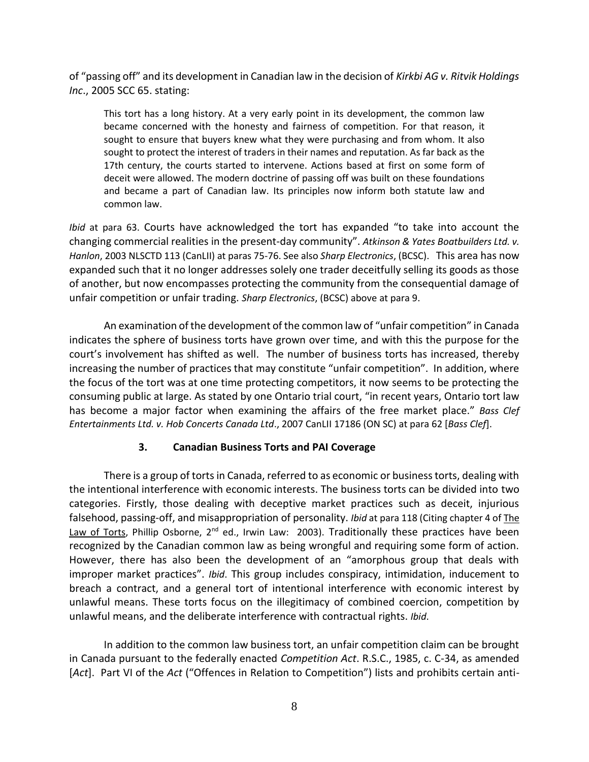of "passing off" and its development in Canadian law in the decision of *Kirkbi AG v. Ritvik Holdings Inc*., 2005 SCC 65. stating:

This tort has a long history. At a very early point in its development, the common law became concerned with the honesty and fairness of competition. For that reason, it sought to ensure that buyers knew what they were purchasing and from whom. It also sought to protect the interest of traders in their names and reputation. As far back as the 17th century, the courts started to intervene. Actions based at first on some form of deceit were allowed. The modern doctrine of passing off was built on these foundations and became a part of Canadian law. Its principles now inform both statute law and common law.

*Ibid* at para 63. Courts have acknowledged the tort has expanded "to take into account the changing commercial realities in the present-day community". *Atkinson & Yates Boatbuilders Ltd. v. Hanlon*, 2003 NLSCTD 113 (CanLII) at paras 75-76. See also *Sharp Electronics*, (BCSC). This area has now expanded such that it no longer addresses solely one trader deceitfully selling its goods as those of another, but now encompasses protecting the community from the consequential damage of unfair competition or unfair trading. *Sharp Electronics*, (BCSC) above at para 9.

An examination of the development of the common law of "unfair competition" in Canada indicates the sphere of business torts have grown over time, and with this the purpose for the court's involvement has shifted as well. The number of business torts has increased, thereby increasing the number of practices that may constitute "unfair competition". In addition, where the focus of the tort was at one time protecting competitors, it now seems to be protecting the consuming public at large. As stated by one Ontario trial court, "in recent years, Ontario tort law has become a major factor when examining the affairs of the free market place." *Bass Clef Entertainments Ltd. v. Hob Concerts Canada Ltd*., 2007 CanLII 17186 (ON SC) at para 62 [*Bass Clef*].

# **3. Canadian Business Torts and PAI Coverage**

There is a group of torts in Canada, referred to as economic or business torts, dealing with the intentional interference with economic interests. The business torts can be divided into two categories. Firstly, those dealing with deceptive market practices such as deceit, injurious falsehood, passing-off, and misappropriation of personality. *Ibid* at para 118 (Citing chapter 4 of The Law of Torts, Phillip Osborne, 2<sup>nd</sup> ed., Irwin Law: 2003). Traditionally these practices have been recognized by the Canadian common law as being wrongful and requiring some form of action. However, there has also been the development of an "amorphous group that deals with improper market practices". *Ibid*. This group includes conspiracy, intimidation, inducement to breach a contract, and a general tort of intentional interference with economic interest by unlawful means. These torts focus on the illegitimacy of combined coercion, competition by unlawful means, and the deliberate interference with contractual rights. *Ibid*.

In addition to the common law business tort, an unfair competition claim can be brought in Canada pursuant to the federally enacted *Competition Act*. R.S.C., 1985, c. C-34, as amended [*Act*]. Part VI of the *Act* ("Offences in Relation to Competition") lists and prohibits certain anti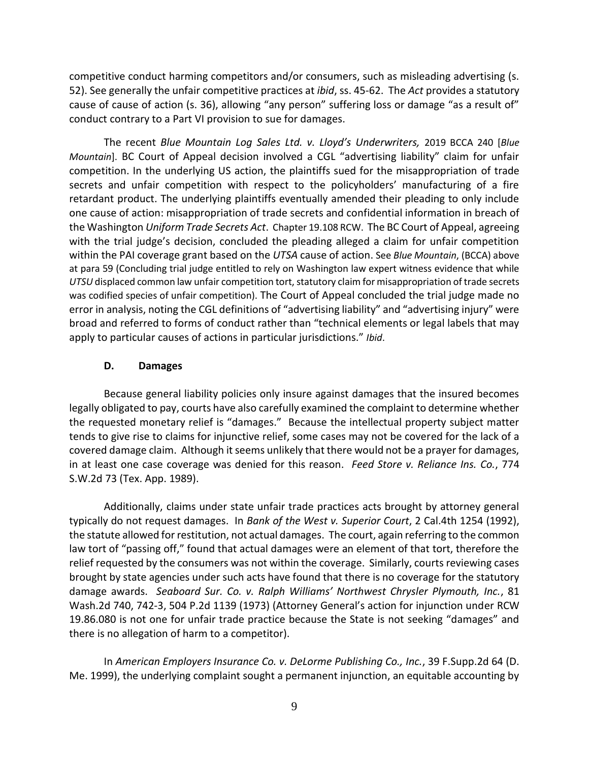competitive conduct harming competitors and/or consumers, such as misleading advertising (s. 52). See generally the unfair competitive practices at *ibid*, ss. 45-62. The *Act* provides a statutory cause of cause of action (s. 36), allowing "any person" suffering loss or damage "as a result of" conduct contrary to a Part VI provision to sue for damages.

The recent *Blue Mountain Log Sales Ltd. v. Lloyd's Underwriters,* 2019 BCCA 240 [*Blue Mountain*]. BC Court of Appeal decision involved a CGL "advertising liability" claim for unfair competition. In the underlying US action, the plaintiffs sued for the misappropriation of trade secrets and unfair competition with respect to the policyholders' manufacturing of a fire retardant product. The underlying plaintiffs eventually amended their pleading to only include one cause of action: misappropriation of trade secrets and confidential information in breach of the Washington *Uniform Trade Secrets Act*. Chapter 19.108 RCW. The BC Court of Appeal, agreeing with the trial judge's decision, concluded the pleading alleged a claim for unfair competition within the PAI coverage grant based on the *UTSA* cause of action. See *Blue Mountain*, (BCCA) above at para 59 (Concluding trial judge entitled to rely on Washington law expert witness evidence that while *UTSU* displaced common law unfair competition tort, statutory claim for misappropriation of trade secrets was codified species of unfair competition). The Court of Appeal concluded the trial judge made no error in analysis, noting the CGL definitions of "advertising liability" and "advertising injury" were broad and referred to forms of conduct rather than "technical elements or legal labels that may apply to particular causes of actions in particular jurisdictions." *Ibid*.

### **D. Damages**

Because general liability policies only insure against damages that the insured becomes legally obligated to pay, courts have also carefully examined the complaint to determine whether the requested monetary relief is "damages." Because the intellectual property subject matter tends to give rise to claims for injunctive relief, some cases may not be covered for the lack of a covered damage claim. Although it seems unlikely that there would not be a prayer for damages, in at least one case coverage was denied for this reason. *Feed Store v. Reliance Ins. Co.*, 774 S.W.2d 73 (Tex. App. 1989).

Additionally, claims under state unfair trade practices acts brought by attorney general typically do not request damages. In *Bank of the West v. Superior Court*, 2 Cal.4th 1254 (1992), the statute allowed for restitution, not actual damages. The court, again referring to the common law tort of "passing off," found that actual damages were an element of that tort, therefore the relief requested by the consumers was not within the coverage. Similarly, courts reviewing cases brought by state agencies under such acts have found that there is no coverage for the statutory damage awards. *Seaboard Sur. Co. v. Ralph Williams' Northwest Chrysler Plymouth, Inc.*, 81 Wash.2d 740, 742-3, 504 P.2d 1139 (1973) (Attorney General's action for injunction under RCW 19.86.080 is not one for unfair trade practice because the State is not seeking "damages" and there is no allegation of harm to a competitor).

In *American Employers Insurance Co. v. DeLorme Publishing Co., Inc.*, 39 F.Supp.2d 64 (D. Me. 1999), the underlying complaint sought a permanent injunction, an equitable accounting by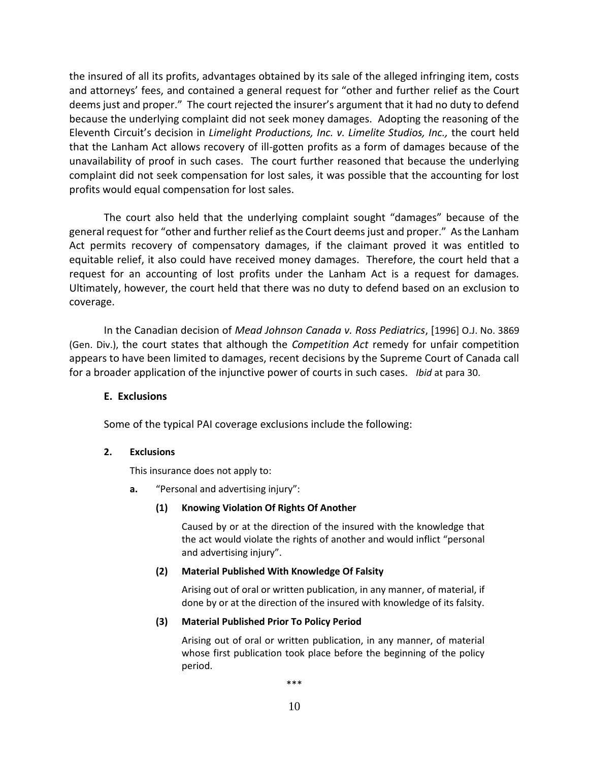the insured of all its profits, advantages obtained by its sale of the alleged infringing item, costs and attorneys' fees, and contained a general request for "other and further relief as the Court deems just and proper." The court rejected the insurer's argument that it had no duty to defend because the underlying complaint did not seek money damages. Adopting the reasoning of the Eleventh Circuit's decision in *Limelight Productions, Inc. v. Limelite Studios, Inc.,* the court held that the Lanham Act allows recovery of ill-gotten profits as a form of damages because of the unavailability of proof in such cases. The court further reasoned that because the underlying complaint did not seek compensation for lost sales, it was possible that the accounting for lost profits would equal compensation for lost sales.

The court also held that the underlying complaint sought "damages" because of the general request for "other and further relief as the Court deems just and proper." As the Lanham Act permits recovery of compensatory damages, if the claimant proved it was entitled to equitable relief, it also could have received money damages. Therefore, the court held that a request for an accounting of lost profits under the Lanham Act is a request for damages. Ultimately, however, the court held that there was no duty to defend based on an exclusion to coverage.

In the Canadian decision of *Mead Johnson Canada v. Ross Pediatrics*, [1996] O.J. No. 3869 (Gen. Div.), the court states that although the *Competition Act* remedy for unfair competition appears to have been limited to damages, recent decisions by the Supreme Court of Canada call for a broader application of the injunctive power of courts in such cases. *Ibid* at para 30.

## **E. Exclusions**

Some of the typical PAI coverage exclusions include the following:

#### **2. Exclusions**

This insurance does not apply to:

**a.** "Personal and advertising injury":

#### **(1) Knowing Violation Of Rights Of Another**

Caused by or at the direction of the insured with the knowledge that the act would violate the rights of another and would inflict "personal and advertising injury".

#### **(2) Material Published With Knowledge Of Falsity**

Arising out of oral or written publication, in any manner, of material, if done by or at the direction of the insured with knowledge of its falsity.

#### **(3) Material Published Prior To Policy Period**

Arising out of oral or written publication, in any manner, of material whose first publication took place before the beginning of the policy period.

\*\*\*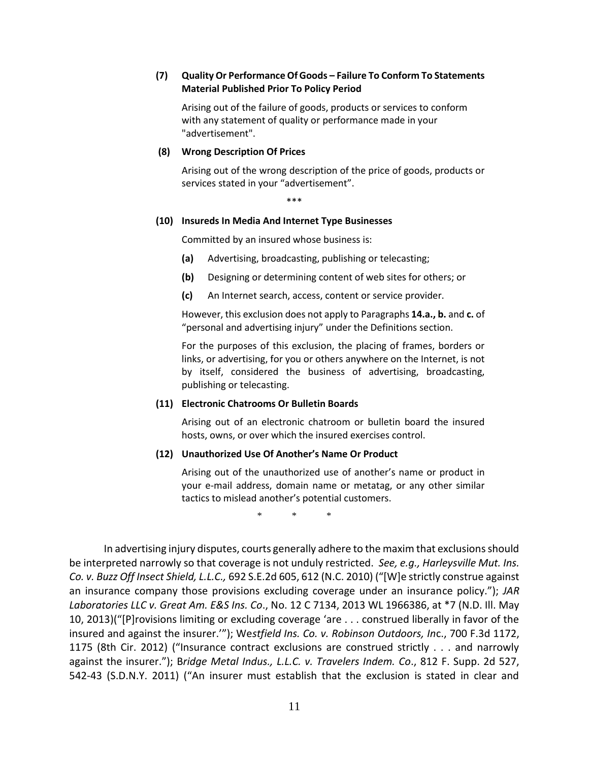#### **(7) Quality Or Performance Of Goods – Failure To Conform To Statements Material Published Prior To Policy Period**

Arising out of the failure of goods, products or services to conform with any statement of quality or performance made in your "advertisement".

#### **(8) Wrong Description Of Prices**

Arising out of the wrong description of the price of goods, products or services stated in your "advertisement".

\*\*\*

#### **(10) Insureds In Media And Internet Type Businesses**

Committed by an insured whose business is:

- **(a)** Advertising, broadcasting, publishing or telecasting;
- **(b)** Designing or determining content of web sites for others; or
- **(c)** An Internet search, access, content or service provider.

However, this exclusion does not apply to Paragraphs **14.a., b.** and **c.** of "personal and advertising injury" under the Definitions section.

For the purposes of this exclusion, the placing of frames, borders or links, or advertising, for you or others anywhere on the Internet, is not by itself, considered the business of advertising, broadcasting, publishing or telecasting.

#### **(11) Electronic Chatrooms Or Bulletin Boards**

Arising out of an electronic chatroom or bulletin board the insured hosts, owns, or over which the insured exercises control.

#### **(12) Unauthorized Use Of Another's Name Or Product**

Arising out of the unauthorized use of another's name or product in your e-mail address, domain name or metatag, or any other similar tactics to mislead another's potential customers.

\* \* \*

In advertising injury disputes, courts generally adhere to the maxim that exclusions should be interpreted narrowly so that coverage is not unduly restricted. *See, e.g., Harleysville Mut. Ins. Co. v. Buzz Off Insect Shield, L.L.C.,* 692 S.E.2d 605, 612 (N.C. 2010) ("[W]e strictly construe against an insurance company those provisions excluding coverage under an insurance policy."); *JAR Laboratories LLC v. Great Am. E&S Ins. Co*., No. 12 C 7134, 2013 WL 1966386, at \*7 (N.D. Ill. May 10, 2013)("[P]rovisions limiting or excluding coverage 'are . . . construed liberally in favor of the insured and against the insurer.'"); We*stfield Ins. Co. v. Robinson Outdoors, In*c., 700 F.3d 1172, 1175 (8th Cir. 2012) ("Insurance contract exclusions are construed strictly . . . and narrowly against the insurer."); B*ridge Metal Indus., L.L.C. v. Travelers Indem. Co*., 812 F. Supp. 2d 527, 542-43 (S.D.N.Y. 2011) ("An insurer must establish that the exclusion is stated in clear and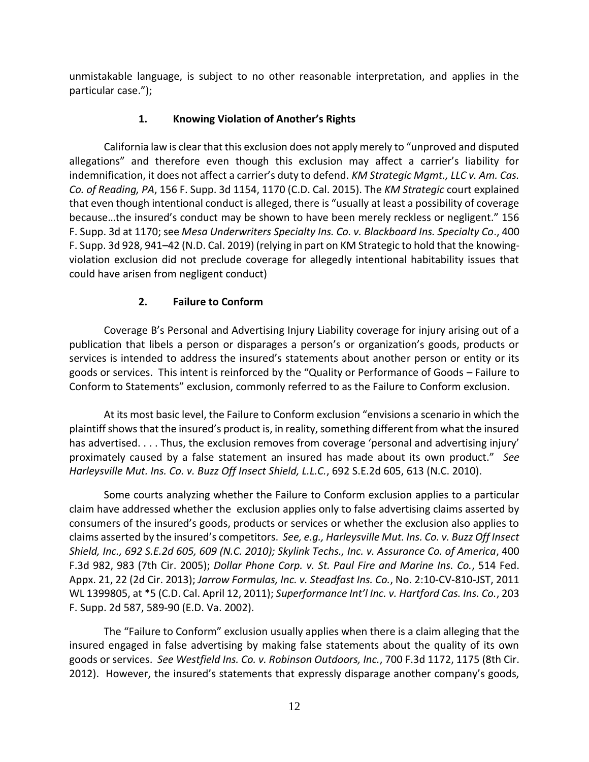unmistakable language, is subject to no other reasonable interpretation, and applies in the particular case.");

# **1. Knowing Violation of Another's Rights**

California law is clear that this exclusion does not apply merely to "unproved and disputed allegations" and therefore even though this exclusion may affect a carrier's liability for indemnification, it does not affect a carrier's duty to defend. *KM Strategic Mgmt., LLC v. Am. Cas. Co. of Reading, PA*, 156 F. Supp. 3d 1154, 1170 (C.D. Cal. 2015). The *KM Strategic* court explained that even though intentional conduct is alleged, there is "usually at least a possibility of coverage because…the insured's conduct may be shown to have been merely reckless or negligent." 156 F. Supp. 3d at 1170; see *Mesa Underwriters Specialty Ins. Co. v. Blackboard Ins. Specialty Co*., 400 F. Supp. 3d 928, 941–42 (N.D. Cal. 2019) (relying in part on KM Strategic to hold that the knowingviolation exclusion did not preclude coverage for allegedly intentional habitability issues that could have arisen from negligent conduct)

# **2. Failure to Conform**

Coverage B's Personal and Advertising Injury Liability coverage for injury arising out of a publication that libels a person or disparages a person's or organization's goods, products or services is intended to address the insured's statements about another person or entity or its goods or services. This intent is reinforced by the "Quality or Performance of Goods – Failure to Conform to Statements" exclusion, commonly referred to as the Failure to Conform exclusion.

At its most basic level, the Failure to Conform exclusion "envisions a scenario in which the plaintiff shows that the insured's product is, in reality, something different from what the insured has advertised. . . . Thus, the exclusion removes from coverage 'personal and advertising injury' proximately caused by a false statement an insured has made about its own product." *See Harleysville Mut. Ins. Co. v. Buzz Off Insect Shield, L.L.C.*, 692 S.E.2d 605, 613 (N.C. 2010).

Some courts analyzing whether the Failure to Conform exclusion applies to a particular claim have addressed whether the exclusion applies only to false advertising claims asserted by consumers of the insured's goods, products or services or whether the exclusion also applies to claims asserted by the insured's competitors. *See, e.g., Harleysville Mut. Ins. Co. v. Buzz Off Insect Shield, Inc., 692 S.E.2d 605, 609 (N.C. 2010); Skylink Techs., Inc. v. Assurance Co. of America*, 400 F.3d 982, 983 (7th Cir. 2005); *Dollar Phone Corp. v. St. Paul Fire and Marine Ins. Co.*, 514 Fed. Appx. 21, 22 (2d Cir. 2013); *Jarrow Formulas, Inc. v. Steadfast Ins. Co.*, No. 2:10-CV-810-JST, 2011 WL 1399805, at \*5 (C.D. Cal. April 12, 2011); *Superformance Int'l Inc. v. Hartford Cas. Ins. Co.*, 203 F. Supp. 2d 587, 589-90 (E.D. Va. 2002).

The "Failure to Conform" exclusion usually applies when there is a claim alleging that the insured engaged in false advertising by making false statements about the quality of its own goods or services. *See Westfield Ins. Co. v. Robinson Outdoors, Inc.*, 700 F.3d 1172, 1175 (8th Cir. 2012). However, the insured's statements that expressly disparage another company's goods,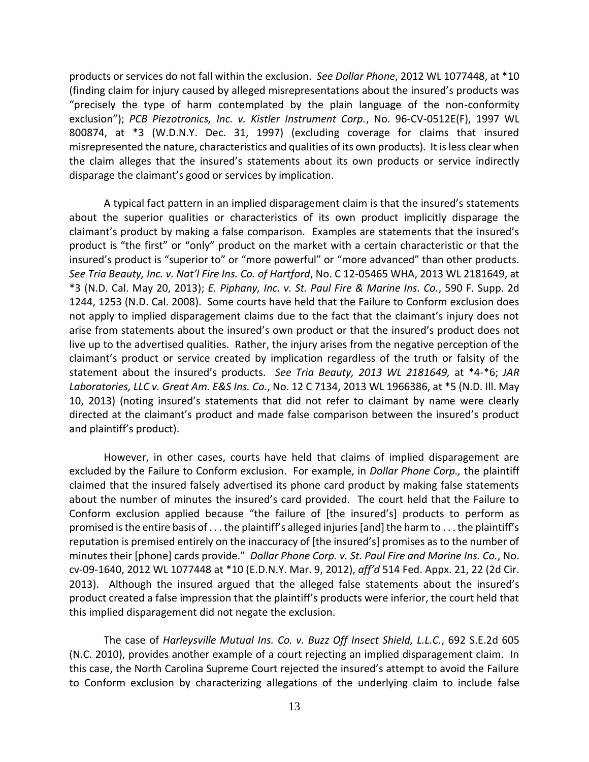products or services do not fall within the exclusion. *See Dollar Phone*, 2012 WL 1077448, at \*10 (finding claim for injury caused by alleged misrepresentations about the insured's products was "precisely the type of harm contemplated by the plain language of the non-conformity exclusion"); *PCB Piezotronics, Inc. v. Kistler Instrument Corp.*, No. 96-CV-0512E(F), 1997 WL 800874, at \*3 (W.D.N.Y. Dec. 31, 1997) (excluding coverage for claims that insured misrepresented the nature, characteristics and qualities of its own products). It is less clear when the claim alleges that the insured's statements about its own products or service indirectly disparage the claimant's good or services by implication.

A typical fact pattern in an implied disparagement claim is that the insured's statements about the superior qualities or characteristics of its own product implicitly disparage the claimant's product by making a false comparison. Examples are statements that the insured's product is "the first" or "only" product on the market with a certain characteristic or that the insured's product is "superior to" or "more powerful" or "more advanced" than other products. *See Tria Beauty, Inc. v. Nat'l Fire Ins. Co. of Hartford*, No. C 12-05465 WHA, 2013 WL 2181649, at \*3 (N.D. Cal. May 20, 2013); *E. Piphany, Inc. v. St. Paul Fire & Marine Ins. Co.*, 590 F. Supp. 2d 1244, 1253 (N.D. Cal. 2008). Some courts have held that the Failure to Conform exclusion does not apply to implied disparagement claims due to the fact that the claimant's injury does not arise from statements about the insured's own product or that the insured's product does not live up to the advertised qualities. Rather, the injury arises from the negative perception of the claimant's product or service created by implication regardless of the truth or falsity of the statement about the insured's products. *See Tria Beauty, 2013 WL 2181649,* at \*4-\*6; *JAR Laboratories, LLC v. Great Am. E&S Ins. Co.*, No. 12 C 7134, 2013 WL 1966386, at \*5 (N.D. Ill. May 10, 2013) (noting insured's statements that did not refer to claimant by name were clearly directed at the claimant's product and made false comparison between the insured's product and plaintiff's product).

However, in other cases, courts have held that claims of implied disparagement are excluded by the Failure to Conform exclusion. For example, in *Dollar Phone Corp.,* the plaintiff claimed that the insured falsely advertised its phone card product by making false statements about the number of minutes the insured's card provided. The court held that the Failure to Conform exclusion applied because "the failure of [the insured's] products to perform as promised is the entire basis of . . . the plaintiff's alleged injuries [and] the harm to . . . the plaintiff's reputation is premised entirely on the inaccuracy of [the insured's] promises as to the number of minutes their [phone] cards provide." *Dollar Phone Corp. v. St. Paul Fire and Marine Ins. Co.*, No. cv-09-1640, 2012 WL 1077448 at \*10 (E.D.N.Y. Mar. 9, 2012), *aff'd* 514 Fed. Appx. 21, 22 (2d Cir. 2013). Although the insured argued that the alleged false statements about the insured's product created a false impression that the plaintiff's products were inferior, the court held that this implied disparagement did not negate the exclusion.

The case of *Harleysville Mutual Ins. Co. v. Buzz Off Insect Shield, L.L.C.*, 692 S.E.2d 605 (N.C. 2010), provides another example of a court rejecting an implied disparagement claim. In this case, the North Carolina Supreme Court rejected the insured's attempt to avoid the Failure to Conform exclusion by characterizing allegations of the underlying claim to include false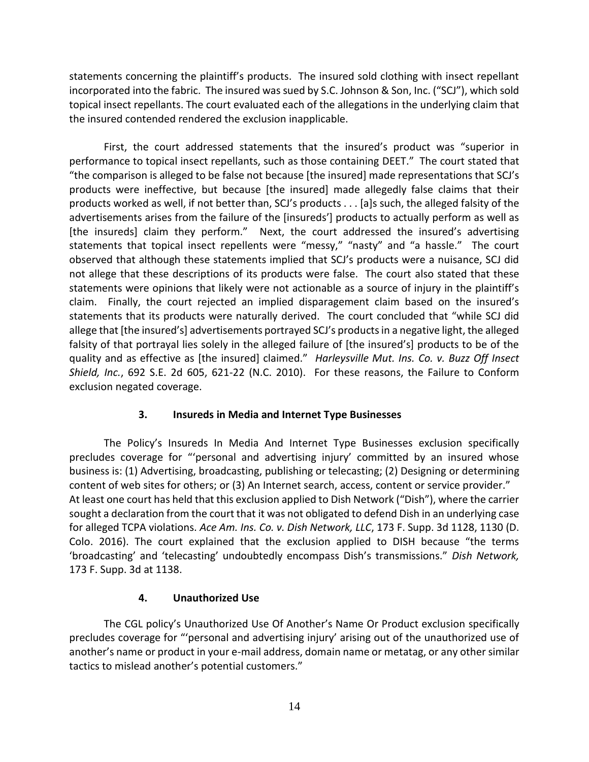statements concerning the plaintiff's products. The insured sold clothing with insect repellant incorporated into the fabric. The insured was sued by S.C. Johnson & Son, Inc. ("SCJ"), which sold topical insect repellants. The court evaluated each of the allegations in the underlying claim that the insured contended rendered the exclusion inapplicable.

First, the court addressed statements that the insured's product was "superior in performance to topical insect repellants, such as those containing DEET." The court stated that "the comparison is alleged to be false not because [the insured] made representations that SCJ's products were ineffective, but because [the insured] made allegedly false claims that their products worked as well, if not better than, SCJ's products . . . [a]s such, the alleged falsity of the advertisements arises from the failure of the [insureds'] products to actually perform as well as [the insureds] claim they perform." Next, the court addressed the insured's advertising statements that topical insect repellents were "messy," "nasty" and "a hassle." The court observed that although these statements implied that SCJ's products were a nuisance, SCJ did not allege that these descriptions of its products were false. The court also stated that these statements were opinions that likely were not actionable as a source of injury in the plaintiff's claim. Finally, the court rejected an implied disparagement claim based on the insured's statements that its products were naturally derived. The court concluded that "while SCJ did allege that [the insured's] advertisements portrayed SCJ's products in a negative light, the alleged falsity of that portrayal lies solely in the alleged failure of [the insured's] products to be of the quality and as effective as [the insured] claimed." *Harleysville Mut. Ins. Co. v. Buzz Off Insect Shield, Inc.*, 692 S.E. 2d 605, 621-22 (N.C. 2010). For these reasons, the Failure to Conform exclusion negated coverage.

# **3. Insureds in Media and Internet Type Businesses**

The Policy's Insureds In Media And Internet Type Businesses exclusion specifically precludes coverage for "'personal and advertising injury' committed by an insured whose business is: (1) Advertising, broadcasting, publishing or telecasting; (2) Designing or determining content of web sites for others; or (3) An Internet search, access, content or service provider." At least one court has held that this exclusion applied to Dish Network ("Dish"), where the carrier sought a declaration from the court that it was not obligated to defend Dish in an underlying case for alleged TCPA violations. *Ace Am. Ins. Co. v. Dish Network, LLC*, 173 F. Supp. 3d 1128, 1130 (D. Colo. 2016). The court explained that the exclusion applied to DISH because "the terms 'broadcasting' and 'telecasting' undoubtedly encompass Dish's transmissions." *Dish Network,* 173 F. Supp. 3d at 1138.

## **4. Unauthorized Use**

The CGL policy's Unauthorized Use Of Another's Name Or Product exclusion specifically precludes coverage for "'personal and advertising injury' arising out of the unauthorized use of another's name or product in your e-mail address, domain name or metatag, or any other similar tactics to mislead another's potential customers."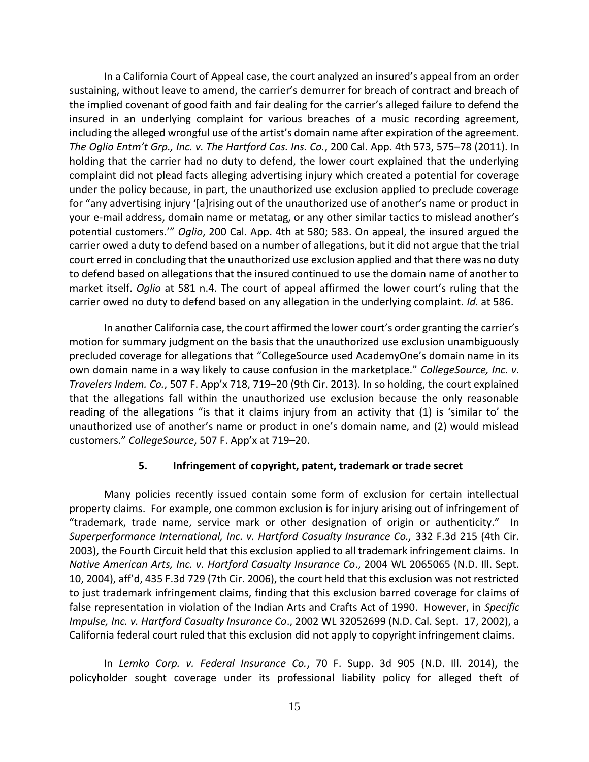In a California Court of Appeal case, the court analyzed an insured's appeal from an order sustaining, without leave to amend, the carrier's demurrer for breach of contract and breach of the implied covenant of good faith and fair dealing for the carrier's alleged failure to defend the insured in an underlying complaint for various breaches of a music recording agreement, including the alleged wrongful use of the artist's domain name after expiration of the agreement. *The Oglio Entm't Grp., Inc. v. The Hartford Cas. Ins. Co.*, 200 Cal. App. 4th 573, 575–78 (2011). In holding that the carrier had no duty to defend, the lower court explained that the underlying complaint did not plead facts alleging advertising injury which created a potential for coverage under the policy because, in part, the unauthorized use exclusion applied to preclude coverage for "any advertising injury '[a]rising out of the unauthorized use of another's name or product in your e-mail address, domain name or metatag, or any other similar tactics to mislead another's potential customers.'" *Oglio*, 200 Cal. App. 4th at 580; 583. On appeal, the insured argued the carrier owed a duty to defend based on a number of allegations, but it did not argue that the trial court erred in concluding that the unauthorized use exclusion applied and that there was no duty to defend based on allegations that the insured continued to use the domain name of another to market itself. *Oglio* at 581 n.4. The court of appeal affirmed the lower court's ruling that the carrier owed no duty to defend based on any allegation in the underlying complaint. *Id.* at 586.

In another California case, the court affirmed the lower court's order granting the carrier's motion for summary judgment on the basis that the unauthorized use exclusion unambiguously precluded coverage for allegations that "CollegeSource used AcademyOne's domain name in its own domain name in a way likely to cause confusion in the marketplace." *CollegeSource, Inc. v. Travelers Indem. Co.*, 507 F. App'x 718, 719–20 (9th Cir. 2013). In so holding, the court explained that the allegations fall within the unauthorized use exclusion because the only reasonable reading of the allegations "is that it claims injury from an activity that (1) is 'similar to' the unauthorized use of another's name or product in one's domain name, and (2) would mislead customers." *CollegeSource*, 507 F. App'x at 719–20.

# **5. Infringement of copyright, patent, trademark or trade secret**

Many policies recently issued contain some form of exclusion for certain intellectual property claims. For example, one common exclusion is for injury arising out of infringement of "trademark, trade name, service mark or other designation of origin or authenticity." In *Superperformance International, Inc. v. Hartford Casualty Insurance Co.,* 332 F.3d 215 (4th Cir. 2003), the Fourth Circuit held that this exclusion applied to all trademark infringement claims. In *Native American Arts, Inc. v. Hartford Casualty Insurance Co*., 2004 WL 2065065 (N.D. Ill. Sept. 10, 2004), aff'd, 435 F.3d 729 (7th Cir. 2006), the court held that this exclusion was not restricted to just trademark infringement claims, finding that this exclusion barred coverage for claims of false representation in violation of the Indian Arts and Crafts Act of 1990. However, in *Specific Impulse, Inc. v. Hartford Casualty Insurance Co*., 2002 WL 32052699 (N.D. Cal. Sept. 17, 2002), a California federal court ruled that this exclusion did not apply to copyright infringement claims.

In *Lemko Corp. v. Federal Insurance Co.*, 70 F. Supp. 3d 905 (N.D. Ill. 2014), the policyholder sought coverage under its professional liability policy for alleged theft of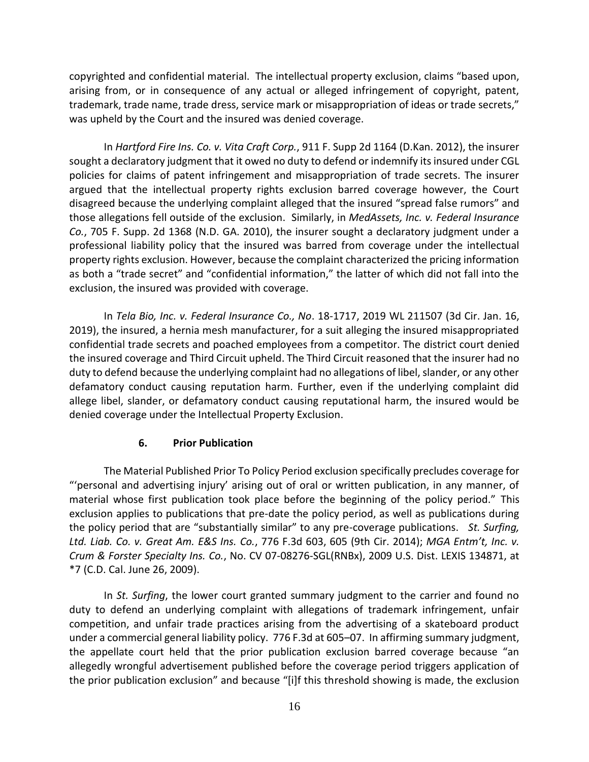copyrighted and confidential material. The intellectual property exclusion, claims "based upon, arising from, or in consequence of any actual or alleged infringement of copyright, patent, trademark, trade name, trade dress, service mark or misappropriation of ideas or trade secrets," was upheld by the Court and the insured was denied coverage.

In *Hartford Fire Ins. Co. v. Vita Craft Corp.*, 911 F. Supp 2d 1164 (D.Kan. 2012), the insurer sought a declaratory judgment that it owed no duty to defend or indemnify its insured under CGL policies for claims of patent infringement and misappropriation of trade secrets. The insurer argued that the intellectual property rights exclusion barred coverage however, the Court disagreed because the underlying complaint alleged that the insured "spread false rumors" and those allegations fell outside of the exclusion. Similarly, in *MedAssets, Inc. v. Federal Insurance Co.*, 705 F. Supp. 2d 1368 (N.D. GA. 2010), the insurer sought a declaratory judgment under a professional liability policy that the insured was barred from coverage under the intellectual property rights exclusion. However, because the complaint characterized the pricing information as both a "trade secret" and "confidential information," the latter of which did not fall into the exclusion, the insured was provided with coverage.

In *Tela Bio, Inc. v. Federal Insurance Co., No*. 18-1717, 2019 WL 211507 (3d Cir. Jan. 16, 2019), the insured, a hernia mesh manufacturer, for a suit alleging the insured misappropriated confidential trade secrets and poached employees from a competitor. The district court denied the insured coverage and Third Circuit upheld. The Third Circuit reasoned that the insurer had no duty to defend because the underlying complaint had no allegations of libel, slander, or any other defamatory conduct causing reputation harm. Further, even if the underlying complaint did allege libel, slander, or defamatory conduct causing reputational harm, the insured would be denied coverage under the Intellectual Property Exclusion.

## **6. Prior Publication**

The Material Published Prior To Policy Period exclusion specifically precludes coverage for "'personal and advertising injury' arising out of oral or written publication, in any manner, of material whose first publication took place before the beginning of the policy period." This exclusion applies to publications that pre-date the policy period, as well as publications during the policy period that are "substantially similar" to any pre-coverage publications. *St. Surfing, Ltd. Liab. Co. v. Great Am. E&S Ins. Co.*, 776 F.3d 603, 605 (9th Cir. 2014); *MGA Entm't, Inc. v. Crum & Forster Specialty Ins. Co.*, No. CV 07-08276-SGL(RNBx), 2009 U.S. Dist. LEXIS 134871, at \*7 (C.D. Cal. June 26, 2009).

In *St. Surfing*, the lower court granted summary judgment to the carrier and found no duty to defend an underlying complaint with allegations of trademark infringement, unfair competition, and unfair trade practices arising from the advertising of a skateboard product under a commercial general liability policy. 776 F.3d at 605–07. In affirming summary judgment, the appellate court held that the prior publication exclusion barred coverage because "an allegedly wrongful advertisement published before the coverage period triggers application of the prior publication exclusion" and because "[i]f this threshold showing is made, the exclusion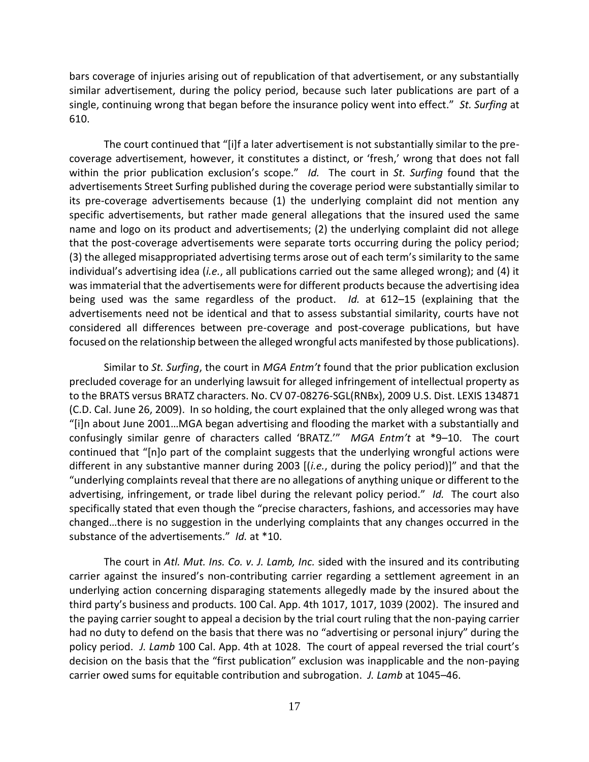bars coverage of injuries arising out of republication of that advertisement, or any substantially similar advertisement, during the policy period, because such later publications are part of a single, continuing wrong that began before the insurance policy went into effect." *St. Surfing* at 610.

The court continued that "[i]f a later advertisement is not substantially similar to the precoverage advertisement, however, it constitutes a distinct, or 'fresh,' wrong that does not fall within the prior publication exclusion's scope." *Id.* The court in *St. Surfing* found that the advertisements Street Surfing published during the coverage period were substantially similar to its pre-coverage advertisements because (1) the underlying complaint did not mention any specific advertisements, but rather made general allegations that the insured used the same name and logo on its product and advertisements; (2) the underlying complaint did not allege that the post-coverage advertisements were separate torts occurring during the policy period; (3) the alleged misappropriated advertising terms arose out of each term's similarity to the same individual's advertising idea (*i.e.*, all publications carried out the same alleged wrong); and (4) it was immaterial that the advertisements were for different products because the advertising idea being used was the same regardless of the product. *Id.* at 612–15 (explaining that the advertisements need not be identical and that to assess substantial similarity, courts have not considered all differences between pre-coverage and post-coverage publications, but have focused on the relationship between the alleged wrongful acts manifested by those publications).

Similar to *St. Surfing*, the court in *MGA Entm't* found that the prior publication exclusion precluded coverage for an underlying lawsuit for alleged infringement of intellectual property as to the BRATS versus BRATZ characters. No. CV 07-08276-SGL(RNBx), 2009 U.S. Dist. LEXIS 134871 (C.D. Cal. June 26, 2009). In so holding, the court explained that the only alleged wrong was that "[i]n about June 2001…MGA began advertising and flooding the market with a substantially and confusingly similar genre of characters called 'BRATZ.'" *MGA Entm't* at \*9–10. The court continued that "[n]o part of the complaint suggests that the underlying wrongful actions were different in any substantive manner during 2003 [(*i.e.*, during the policy period)]" and that the "underlying complaints reveal that there are no allegations of anything unique or different to the advertising, infringement, or trade libel during the relevant policy period." *Id.* The court also specifically stated that even though the "precise characters, fashions, and accessories may have changed…there is no suggestion in the underlying complaints that any changes occurred in the substance of the advertisements." *Id.* at \*10.

The court in *Atl. Mut. Ins. Co. v. J. Lamb, Inc.* sided with the insured and its contributing carrier against the insured's non-contributing carrier regarding a settlement agreement in an underlying action concerning disparaging statements allegedly made by the insured about the third party's business and products. 100 Cal. App. 4th 1017, 1017, 1039 (2002). The insured and the paying carrier sought to appeal a decision by the trial court ruling that the non-paying carrier had no duty to defend on the basis that there was no "advertising or personal injury" during the policy period. *J. Lamb* 100 Cal. App. 4th at 1028. The court of appeal reversed the trial court's decision on the basis that the "first publication" exclusion was inapplicable and the non-paying carrier owed sums for equitable contribution and subrogation. *J. Lamb* at 1045–46.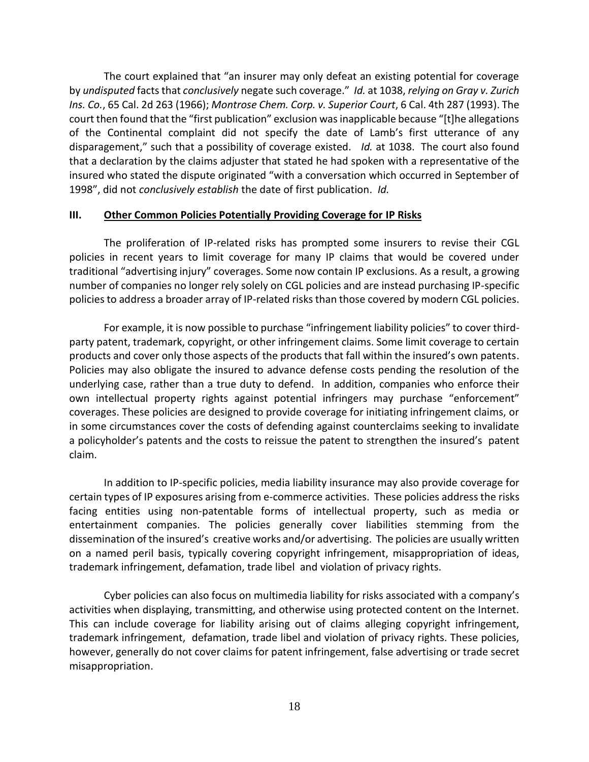The court explained that "an insurer may only defeat an existing potential for coverage by *undisputed* facts that *conclusively* negate such coverage." *Id.* at 1038, *relying on Gray v. Zurich Ins. Co.*, 65 Cal. 2d 263 (1966); *Montrose Chem. Corp. v. Superior Court*, 6 Cal. 4th 287 (1993). The court then found that the "first publication" exclusion was inapplicable because "[t]he allegations of the Continental complaint did not specify the date of Lamb's first utterance of any disparagement," such that a possibility of coverage existed. *Id.* at 1038. The court also found that a declaration by the claims adjuster that stated he had spoken with a representative of the insured who stated the dispute originated "with a conversation which occurred in September of 1998", did not *conclusively establish* the date of first publication. *Id.*

### **III. Other Common Policies Potentially Providing Coverage for IP Risks**

The proliferation of IP-related risks has prompted some insurers to revise their CGL policies in recent years to limit coverage for many IP claims that would be covered under traditional "advertising injury" coverages. Some now contain IP exclusions. As a result, a growing number of companies no longer rely solely on CGL policies and are instead purchasing IP-specific policies to address a broader array of IP-related risks than those covered by modern CGL policies.

For example, it is now possible to purchase "infringement liability policies" to cover thirdparty patent, trademark, copyright, or other infringement claims. Some limit coverage to certain products and cover only those aspects of the products that fall within the insured's own patents. Policies may also obligate the insured to advance defense costs pending the resolution of the underlying case, rather than a true duty to defend. In addition, companies who enforce their own intellectual property rights against potential infringers may purchase "enforcement" coverages. These policies are designed to provide coverage for initiating infringement claims, or in some circumstances cover the costs of defending against counterclaims seeking to invalidate a policyholder's patents and the costs to reissue the patent to strengthen the insured's patent claim.

In addition to IP-specific policies, media liability insurance may also provide coverage for certain types of IP exposures arising from e-commerce activities. These policies address the risks facing entities using non-patentable forms of intellectual property, such as media or entertainment companies. The policies generally cover liabilities stemming from the dissemination of the insured's creative works and/or advertising. The policies are usually written on a named peril basis, typically covering copyright infringement, misappropriation of ideas, trademark infringement, defamation, trade libel and violation of privacy rights.

Cyber policies can also focus on multimedia liability for risks associated with a company's activities when displaying, transmitting, and otherwise using protected content on the Internet. This can include coverage for liability arising out of claims alleging copyright infringement, trademark infringement, defamation, trade libel and violation of privacy rights. These policies, however, generally do not cover claims for patent infringement, false advertising or trade secret misappropriation.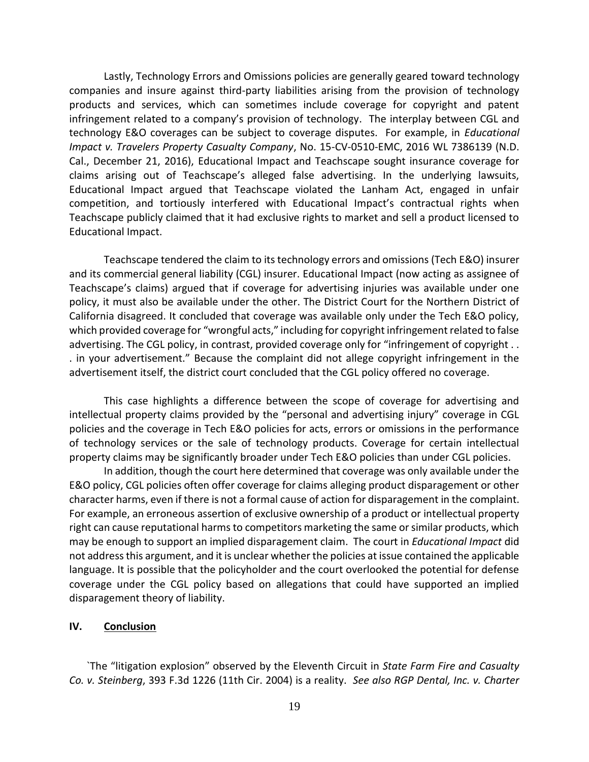Lastly, Technology Errors and Omissions policies are generally geared toward technology companies and insure against third-party liabilities arising from the provision of technology products and services, which can sometimes include coverage for copyright and patent infringement related to a company's provision of technology. The interplay between CGL and technology E&O coverages can be subject to coverage disputes. For example, in *Educational Impact v. Travelers Property Casualty Company*, No. 15-CV-0510-EMC, 2016 WL 7386139 (N.D. Cal., December 21, 2016), Educational Impact and Teachscape sought insurance coverage for claims arising out of Teachscape's alleged false advertising. In the underlying lawsuits, Educational Impact argued that Teachscape violated the Lanham Act, engaged in unfair competition, and tortiously interfered with Educational Impact's contractual rights when Teachscape publicly claimed that it had exclusive rights to market and sell a product licensed to Educational Impact.

Teachscape tendered the claim to its technology errors and omissions (Tech E&O) insurer and its commercial general liability (CGL) insurer. Educational Impact (now acting as assignee of Teachscape's claims) argued that if coverage for advertising injuries was available under one policy, it must also be available under the other. The District Court for the Northern District of California disagreed. It concluded that coverage was available only under the Tech E&O policy, which provided coverage for "wrongful acts," including for copyright infringement related to false advertising. The CGL policy, in contrast, provided coverage only for "infringement of copyright . . . in your advertisement." Because the complaint did not allege copyright infringement in the advertisement itself, the district court concluded that the CGL policy offered no coverage.

This case highlights a difference between the scope of coverage for advertising and intellectual property claims provided by the "personal and advertising injury" coverage in CGL policies and the coverage in Tech E&O policies for acts, errors or omissions in the performance of technology services or the sale of technology products. Coverage for certain intellectual property claims may be significantly broader under Tech E&O policies than under CGL policies.

In addition, though the court here determined that coverage was only available under the E&O policy, CGL policies often offer coverage for claims alleging product disparagement or other character harms, even if there is not a formal cause of action for disparagement in the complaint. For example, an erroneous assertion of exclusive ownership of a product or intellectual property right can cause reputational harms to competitors marketing the same or similar products, which may be enough to support an implied disparagement claim. The court in *Educational Impact* did not address this argument, and it is unclear whether the policies at issue contained the applicable language. It is possible that the policyholder and the court overlooked the potential for defense coverage under the CGL policy based on allegations that could have supported an implied disparagement theory of liability.

#### **IV. Conclusion**

`The "litigation explosion" observed by the Eleventh Circuit in *State Farm Fire and Casualty Co. v. Steinberg*, 393 F.3d 1226 (11th Cir. 2004) is a reality. *See also RGP Dental, Inc. v. Charter*